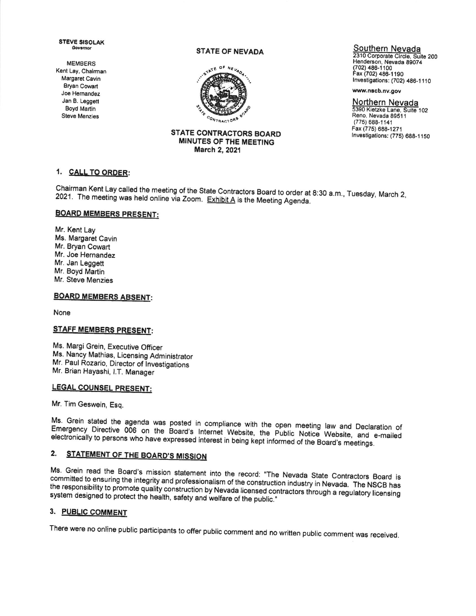**STEVE SISOLAK** Governor

**MEMBERS** Kent Lay, Chairman Margaret Cavin **Bryan Cowart** Joe Hernandez Jan B. Leggett Boyd Martin **Steve Menzies** 

#### **STATE OF NEVADA**



#### **STATE CONTRACTORS BOARD** MINUTES OF THE MEETING March 2, 2021

### Southern Nevada

2310 Corporate Circle, Suite 200 Henderson, Nevada 89074 (702) 486-1100 Fax (702) 486-1190 Investigations: (702) 486-1110

www.nscb.nv.gov

Northern Nevada 5390 Kietzke Lane, Suite 102 Reno, Nevada 89511  $(775) 688 - 1141$ Fax (775) 688-1271 Investigations: (775) 688-1150

## 1. CALL TO ORDER:

Chairman Kent Lay called the meeting of the State Contractors Board to order at 8:30 a.m., Tuesday, March 2, 2021. The meeting was held online via Zoom. Exhibit A is the Meeting Agenda.

## **BOARD MEMBERS PRESENT:**

Mr. Kent Lay Ms. Margaret Cavin Mr. Bryan Cowart Mr. Joe Hernandez Mr. Jan Leggett Mr. Boyd Martin Mr. Steve Menzies

# **BOARD MEMBERS ABSENT:**

None

## **STAFF MEMBERS PRESENT:**

Ms. Margi Grein, Executive Officer Ms. Nancy Mathias, Licensing Administrator Mr. Paul Rozario, Director of Investigations Mr. Brian Hayashi, I.T. Manager

# **LEGAL COUNSEL PRESENT:**

Mr. Tim Geswein, Esq.

Ms. Grein stated the agenda was posted in compliance with the open meeting law and Declaration of Emergency Directive 006 on the Board's Internet Website, the Public Notice Website, and e-mailed electronically to persons who have expressed interest in being kept informed of the Board's meetings.

#### STATEMENT OF THE BOARD'S MISSION 2.

Ms. Grein read the Board's mission statement into the record: "The Nevada State Contractors Board is committed to ensuring the integrity and professionalism of the construction industry in Nevada. The NSCB has the responsibility to promote quality construction by Nevada licensed contractors through a regulatory licensing system designed to protect the health, safety and welfare of the public."

### 3. PUBLIC COMMENT

There were no online public participants to offer public comment and no written public comment was received.